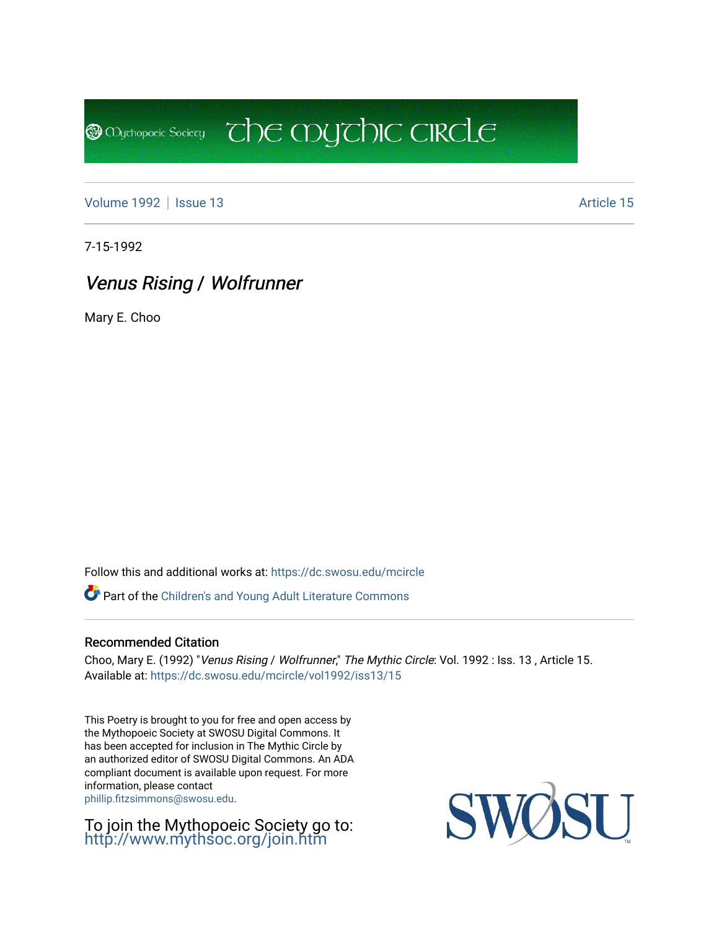[Volume 1992](https://dc.swosu.edu/mcircle/vol1992) | [Issue 13](https://dc.swosu.edu/mcircle/vol1992/iss13) Article 15

**@** Mychopoeic Sociecy

7-15-1992

# Venus Rising / Wolfrunner

Mary E. Choo

Follow this and additional works at: [https://dc.swosu.edu/mcircle](https://dc.swosu.edu/mcircle?utm_source=dc.swosu.edu%2Fmcircle%2Fvol1992%2Fiss13%2F15&utm_medium=PDF&utm_campaign=PDFCoverPages) 

Part of the [Children's and Young Adult Literature Commons](http://network.bepress.com/hgg/discipline/1289?utm_source=dc.swosu.edu%2Fmcircle%2Fvol1992%2Fiss13%2F15&utm_medium=PDF&utm_campaign=PDFCoverPages) 

#### Recommended Citation

Choo, Mary E. (1992) "Venus Rising / Wolfrunner," The Mythic Circle: Vol. 1992 : Iss. 13, Article 15. Available at: [https://dc.swosu.edu/mcircle/vol1992/iss13/15](https://dc.swosu.edu/mcircle/vol1992/iss13/15?utm_source=dc.swosu.edu%2Fmcircle%2Fvol1992%2Fiss13%2F15&utm_medium=PDF&utm_campaign=PDFCoverPages) 

 $\overline{c}$  the mychic circle

This Poetry is brought to you for free and open access by the Mythopoeic Society at SWOSU Digital Commons. It has been accepted for inclusion in The Mythic Circle by an authorized editor of SWOSU Digital Commons. An ADA compliant document is available upon request. For more information, please contact [phillip.fitzsimmons@swosu.edu](mailto:phillip.fitzsimmons@swosu.edu).

To join the Mythopoeic Society go to: <http://www.mythsoc.org/join.htm>

SWO **STT**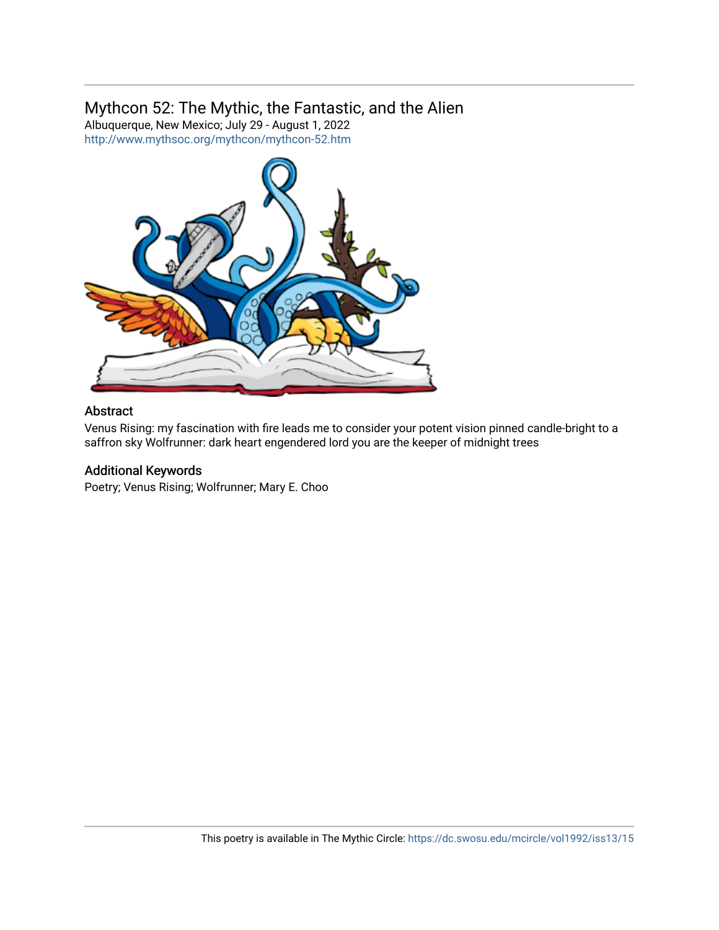### Mythcon 52: The Mythic, the Fantastic, and the Alien

Albuquerque, New Mexico; July 29 - August 1, 2022 <http://www.mythsoc.org/mythcon/mythcon-52.htm>



#### Abstract

Venus Rising: my fascination with fire leads me to consider your potent vision pinned candle-bright to a saffron sky Wolfrunner: dark heart engendered lord you are the keeper of midnight trees

#### Additional Keywords

Poetry; Venus Rising; Wolfrunner; Mary E. Choo